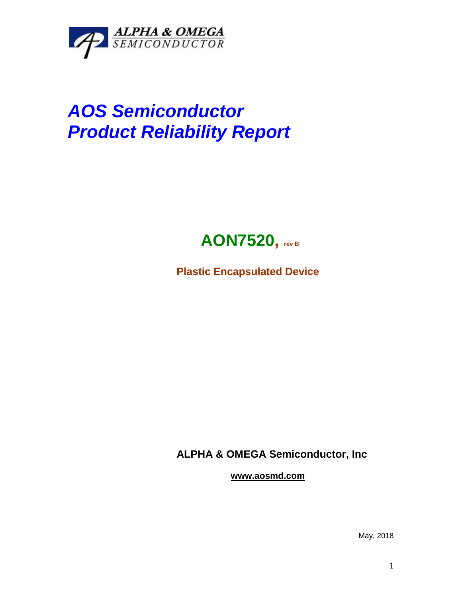

## *AOS Semiconductor Product Reliability Report*



**Plastic Encapsulated Device**

**ALPHA & OMEGA Semiconductor, Inc**

**www.aosmd.com**

May, 2018